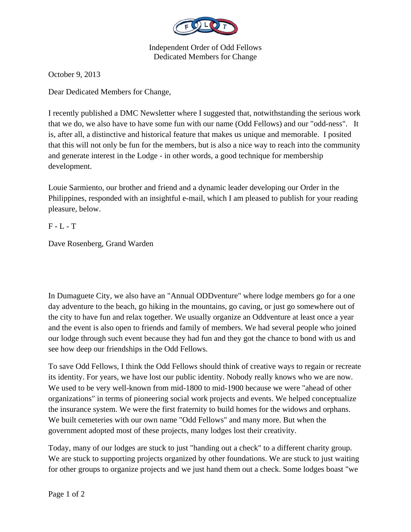

Independent Order of Odd Fellows Dedicated Members for Change

October 9, 2013

Dear Dedicated Members for Change,

I recently published a DMC Newsletter where I suggested that, notwithstanding the serious work that we do, we also have to have some fun with our name (Odd Fellows) and our "odd-ness". It is, after all, a distinctive and historical feature that makes us unique and memorable. I posited that this will not only be fun for the members, but is also a nice way to reach into the community and generate interest in the Lodge - in other words, a good technique for membership development.

Louie Sarmiento, our brother and friend and a dynamic leader developing our Order in the Philippines, responded with an insightful e-mail, which I am pleased to publish for your reading pleasure, below.

## F - L - T

Dave Rosenberg, Grand Warden

In Dumaguete City, we also have an "Annual ODDventure" where lodge members go for a one day adventure to the beach, go hiking in the mountains, go caving, or just go somewhere out of the city to have fun and relax together. We usually organize an Oddventure at least once a year and the event is also open to friends and family of members. We had several people who joined our lodge through such event because they had fun and they got the chance to bond with us and see how deep our friendships in the Odd Fellows.

To save Odd Fellows, I think the Odd Fellows should think of creative ways to regain or recreate its identity. For years, we have lost our public identity. Nobody really knows who we are now. We used to be very well-known from mid-1800 to mid-1900 because we were "ahead of other organizations" in terms of pioneering social work projects and events. We helped conceptualize the insurance system. We were the first fraternity to build homes for the widows and orphans. We built cemeteries with our own name "Odd Fellows" and many more. But when the government adopted most of these projects, many lodges lost their creativity.

Today, many of our lodges are stuck to just "handing out a check" to a different charity group. We are stuck to supporting projects organized by other foundations. We are stuck to just waiting for other groups to organize projects and we just hand them out a check. Some lodges boast "we